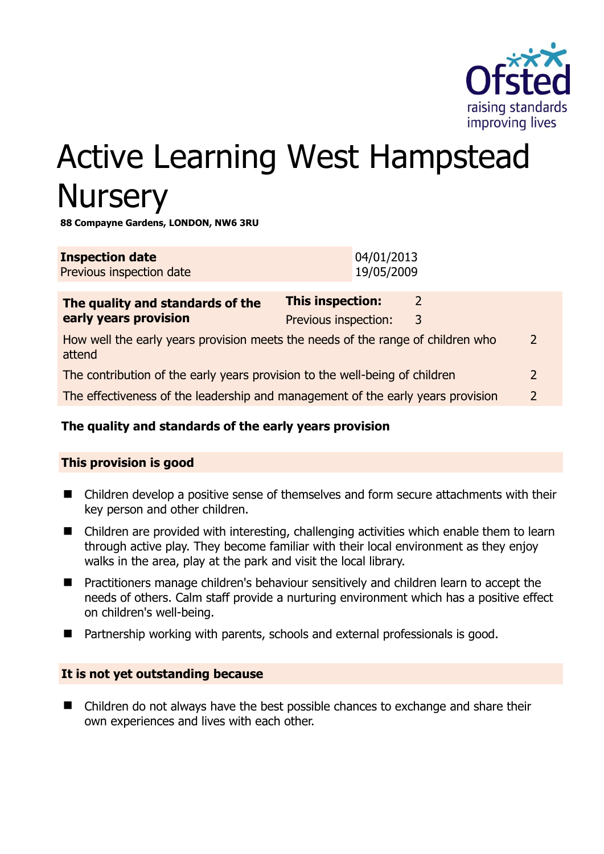

# Active Learning West Hampstead **Nursery**

**88 Compayne Gardens, LONDON, NW6 3RU** 

| <b>Inspection date</b><br>Previous inspection date                                                          |                                                 | 04/01/2013<br>19/05/2009 |                    |                |
|-------------------------------------------------------------------------------------------------------------|-------------------------------------------------|--------------------------|--------------------|----------------|
| The quality and standards of the<br>early years provision                                                   | <b>This inspection:</b><br>Previous inspection: |                          | $\mathcal{L}$<br>3 |                |
| How well the early years provision meets the needs of the range of children who<br>$\overline{2}$<br>attend |                                                 |                          |                    |                |
| The contribution of the early years provision to the well-being of children                                 |                                                 |                          |                    | $\overline{2}$ |
| The effectiveness of the leadership and management of the early years provision                             |                                                 |                          |                    | $\overline{2}$ |

# **The quality and standards of the early years provision**

#### **This provision is good**

- Children develop a positive sense of themselves and form secure attachments with their key person and other children.
- Children are provided with interesting, challenging activities which enable them to learn through active play. They become familiar with their local environment as they enjoy walks in the area, play at the park and visit the local library.
- Practitioners manage children's behaviour sensitively and children learn to accept the needs of others. Calm staff provide a nurturing environment which has a positive effect on children's well-being.
- Partnership working with parents, schools and external professionals is good.

#### **It is not yet outstanding because**

■ Children do not always have the best possible chances to exchange and share their own experiences and lives with each other.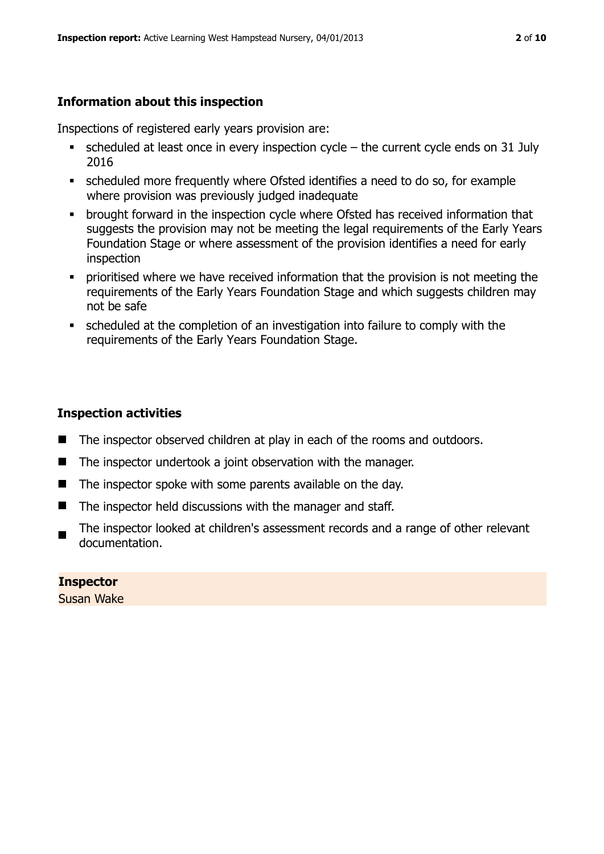# **Information about this inspection**

Inspections of registered early years provision are:

- scheduled at least once in every inspection cycle the current cycle ends on 31 July 2016
- scheduled more frequently where Ofsted identifies a need to do so, for example where provision was previously judged inadequate
- **•** brought forward in the inspection cycle where Ofsted has received information that suggests the provision may not be meeting the legal requirements of the Early Years Foundation Stage or where assessment of the provision identifies a need for early inspection
- **•** prioritised where we have received information that the provision is not meeting the requirements of the Early Years Foundation Stage and which suggests children may not be safe
- scheduled at the completion of an investigation into failure to comply with the requirements of the Early Years Foundation Stage.

# **Inspection activities**

- The inspector observed children at play in each of the rooms and outdoors.
- The inspector undertook a joint observation with the manager.
- The inspector spoke with some parents available on the day.
- The inspector held discussions with the manager and staff.
- The inspector looked at children's assessment records and a range of other relevant documentation.

#### **Inspector**

Susan Wake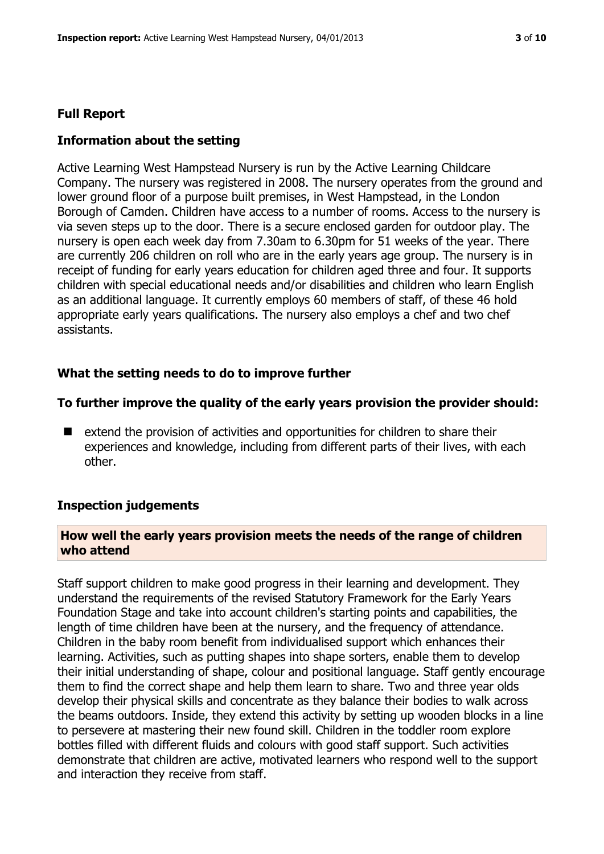# **Full Report**

# **Information about the setting**

Active Learning West Hampstead Nursery is run by the Active Learning Childcare Company. The nursery was registered in 2008. The nursery operates from the ground and lower ground floor of a purpose built premises, in West Hampstead, in the London Borough of Camden. Children have access to a number of rooms. Access to the nursery is via seven steps up to the door. There is a secure enclosed garden for outdoor play. The nursery is open each week day from 7.30am to 6.30pm for 51 weeks of the year. There are currently 206 children on roll who are in the early years age group. The nursery is in receipt of funding for early years education for children aged three and four. It supports children with special educational needs and/or disabilities and children who learn English as an additional language. It currently employs 60 members of staff, of these 46 hold appropriate early years qualifications. The nursery also employs a chef and two chef assistants.

# **What the setting needs to do to improve further**

#### **To further improve the quality of the early years provision the provider should:**

■ extend the provision of activities and opportunities for children to share their experiences and knowledge, including from different parts of their lives, with each other.

#### **Inspection judgements**

#### **How well the early years provision meets the needs of the range of children who attend**

Staff support children to make good progress in their learning and development. They understand the requirements of the revised Statutory Framework for the Early Years Foundation Stage and take into account children's starting points and capabilities, the length of time children have been at the nursery, and the frequency of attendance. Children in the baby room benefit from individualised support which enhances their learning. Activities, such as putting shapes into shape sorters, enable them to develop their initial understanding of shape, colour and positional language. Staff gently encourage them to find the correct shape and help them learn to share. Two and three year olds develop their physical skills and concentrate as they balance their bodies to walk across the beams outdoors. Inside, they extend this activity by setting up wooden blocks in a line to persevere at mastering their new found skill. Children in the toddler room explore bottles filled with different fluids and colours with good staff support. Such activities demonstrate that children are active, motivated learners who respond well to the support and interaction they receive from staff.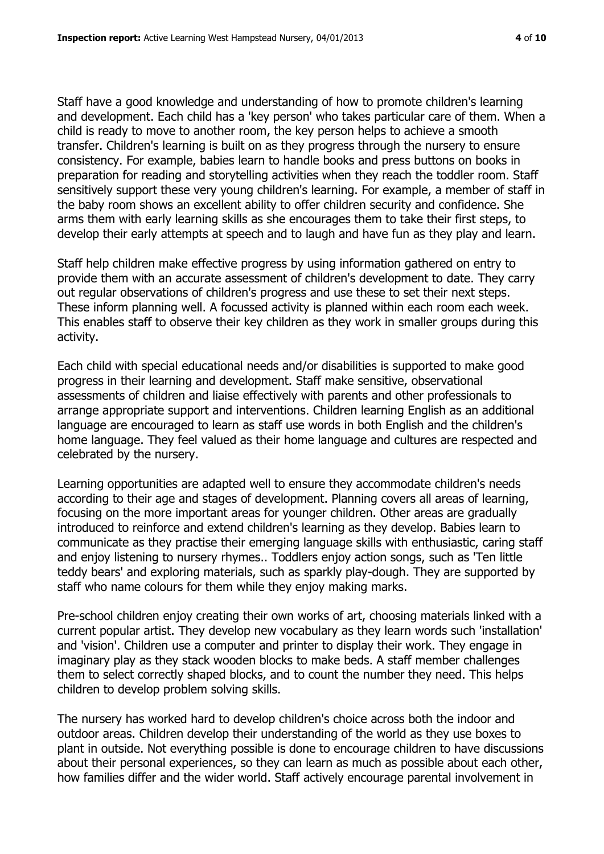Staff have a good knowledge and understanding of how to promote children's learning and development. Each child has a 'key person' who takes particular care of them. When a child is ready to move to another room, the key person helps to achieve a smooth transfer. Children's learning is built on as they progress through the nursery to ensure consistency. For example, babies learn to handle books and press buttons on books in preparation for reading and storytelling activities when they reach the toddler room. Staff sensitively support these very young children's learning. For example, a member of staff in the baby room shows an excellent ability to offer children security and confidence. She arms them with early learning skills as she encourages them to take their first steps, to develop their early attempts at speech and to laugh and have fun as they play and learn.

Staff help children make effective progress by using information gathered on entry to provide them with an accurate assessment of children's development to date. They carry out regular observations of children's progress and use these to set their next steps. These inform planning well. A focussed activity is planned within each room each week. This enables staff to observe their key children as they work in smaller groups during this activity.

Each child with special educational needs and/or disabilities is supported to make good progress in their learning and development. Staff make sensitive, observational assessments of children and liaise effectively with parents and other professionals to arrange appropriate support and interventions. Children learning English as an additional language are encouraged to learn as staff use words in both English and the children's home language. They feel valued as their home language and cultures are respected and celebrated by the nursery.

Learning opportunities are adapted well to ensure they accommodate children's needs according to their age and stages of development. Planning covers all areas of learning, focusing on the more important areas for younger children. Other areas are gradually introduced to reinforce and extend children's learning as they develop. Babies learn to communicate as they practise their emerging language skills with enthusiastic, caring staff and enjoy listening to nursery rhymes.. Toddlers enjoy action songs, such as 'Ten little teddy bears' and exploring materials, such as sparkly play-dough. They are supported by staff who name colours for them while they enjoy making marks.

Pre-school children enjoy creating their own works of art, choosing materials linked with a current popular artist. They develop new vocabulary as they learn words such 'installation' and 'vision'. Children use a computer and printer to display their work. They engage in imaginary play as they stack wooden blocks to make beds. A staff member challenges them to select correctly shaped blocks, and to count the number they need. This helps children to develop problem solving skills.

The nursery has worked hard to develop children's choice across both the indoor and outdoor areas. Children develop their understanding of the world as they use boxes to plant in outside. Not everything possible is done to encourage children to have discussions about their personal experiences, so they can learn as much as possible about each other, how families differ and the wider world. Staff actively encourage parental involvement in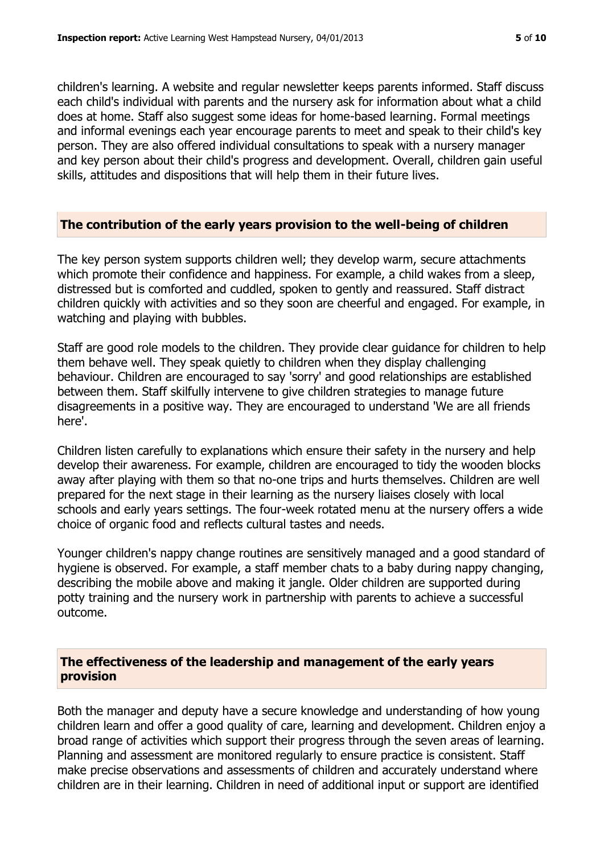children's learning. A website and regular newsletter keeps parents informed. Staff discuss each child's individual with parents and the nursery ask for information about what a child does at home. Staff also suggest some ideas for home-based learning. Formal meetings and informal evenings each year encourage parents to meet and speak to their child's key person. They are also offered individual consultations to speak with a nursery manager and key person about their child's progress and development. Overall, children gain useful skills, attitudes and dispositions that will help them in their future lives.

#### **The contribution of the early years provision to the well-being of children**

The key person system supports children well; they develop warm, secure attachments which promote their confidence and happiness. For example, a child wakes from a sleep, distressed but is comforted and cuddled, spoken to gently and reassured. Staff distract children quickly with activities and so they soon are cheerful and engaged. For example, in watching and playing with bubbles.

Staff are good role models to the children. They provide clear guidance for children to help them behave well. They speak quietly to children when they display challenging behaviour. Children are encouraged to say 'sorry' and good relationships are established between them. Staff skilfully intervene to give children strategies to manage future disagreements in a positive way. They are encouraged to understand 'We are all friends here'.

Children listen carefully to explanations which ensure their safety in the nursery and help develop their awareness. For example, children are encouraged to tidy the wooden blocks away after playing with them so that no-one trips and hurts themselves. Children are well prepared for the next stage in their learning as the nursery liaises closely with local schools and early years settings. The four-week rotated menu at the nursery offers a wide choice of organic food and reflects cultural tastes and needs.

Younger children's nappy change routines are sensitively managed and a good standard of hygiene is observed. For example, a staff member chats to a baby during nappy changing, describing the mobile above and making it jangle. Older children are supported during potty training and the nursery work in partnership with parents to achieve a successful outcome.

#### **The effectiveness of the leadership and management of the early years provision**

Both the manager and deputy have a secure knowledge and understanding of how young children learn and offer a good quality of care, learning and development. Children enjoy a broad range of activities which support their progress through the seven areas of learning. Planning and assessment are monitored regularly to ensure practice is consistent. Staff make precise observations and assessments of children and accurately understand where children are in their learning. Children in need of additional input or support are identified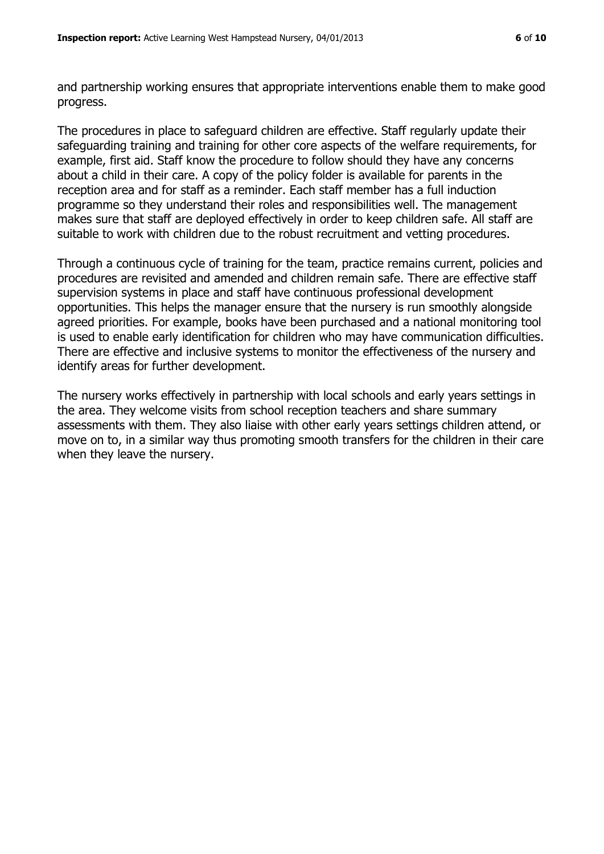and partnership working ensures that appropriate interventions enable them to make good progress.

The procedures in place to safeguard children are effective. Staff regularly update their safeguarding training and training for other core aspects of the welfare requirements, for example, first aid. Staff know the procedure to follow should they have any concerns about a child in their care. A copy of the policy folder is available for parents in the reception area and for staff as a reminder. Each staff member has a full induction programme so they understand their roles and responsibilities well. The management makes sure that staff are deployed effectively in order to keep children safe. All staff are suitable to work with children due to the robust recruitment and vetting procedures.

Through a continuous cycle of training for the team, practice remains current, policies and procedures are revisited and amended and children remain safe. There are effective staff supervision systems in place and staff have continuous professional development opportunities. This helps the manager ensure that the nursery is run smoothly alongside agreed priorities. For example, books have been purchased and a national monitoring tool is used to enable early identification for children who may have communication difficulties. There are effective and inclusive systems to monitor the effectiveness of the nursery and identify areas for further development.

The nursery works effectively in partnership with local schools and early years settings in the area. They welcome visits from school reception teachers and share summary assessments with them. They also liaise with other early years settings children attend, or move on to, in a similar way thus promoting smooth transfers for the children in their care when they leave the nursery.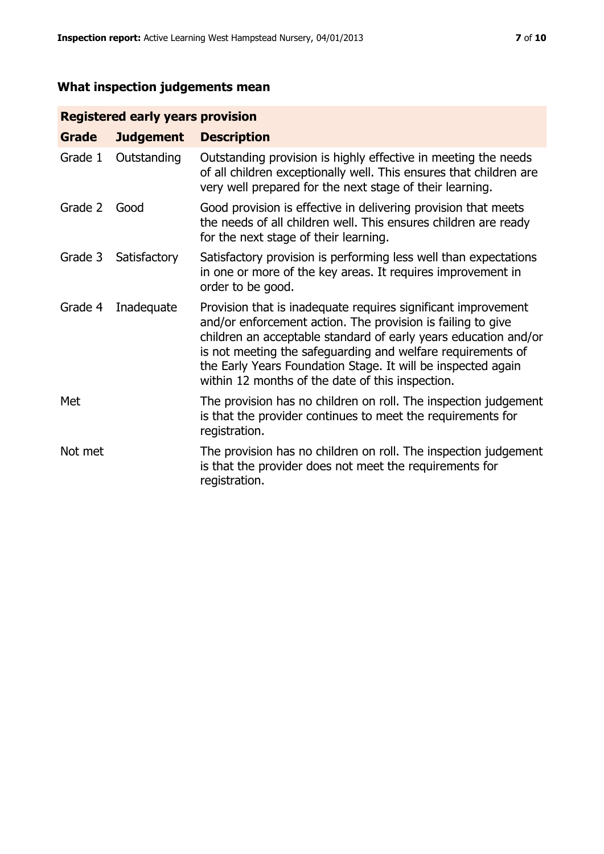# **What inspection judgements mean**

# **Registered early years provision**

| <b>Grade</b> | <b>Judgement</b> | <b>Description</b>                                                                                                                                                                                                                                                                                                                                                                 |
|--------------|------------------|------------------------------------------------------------------------------------------------------------------------------------------------------------------------------------------------------------------------------------------------------------------------------------------------------------------------------------------------------------------------------------|
| Grade 1      | Outstanding      | Outstanding provision is highly effective in meeting the needs<br>of all children exceptionally well. This ensures that children are<br>very well prepared for the next stage of their learning.                                                                                                                                                                                   |
| Grade 2      | Good             | Good provision is effective in delivering provision that meets<br>the needs of all children well. This ensures children are ready<br>for the next stage of their learning.                                                                                                                                                                                                         |
| Grade 3      | Satisfactory     | Satisfactory provision is performing less well than expectations<br>in one or more of the key areas. It requires improvement in<br>order to be good.                                                                                                                                                                                                                               |
| Grade 4      | Inadequate       | Provision that is inadequate requires significant improvement<br>and/or enforcement action. The provision is failing to give<br>children an acceptable standard of early years education and/or<br>is not meeting the safeguarding and welfare requirements of<br>the Early Years Foundation Stage. It will be inspected again<br>within 12 months of the date of this inspection. |
| Met          |                  | The provision has no children on roll. The inspection judgement<br>is that the provider continues to meet the requirements for<br>registration.                                                                                                                                                                                                                                    |
| Not met      |                  | The provision has no children on roll. The inspection judgement<br>is that the provider does not meet the requirements for<br>registration.                                                                                                                                                                                                                                        |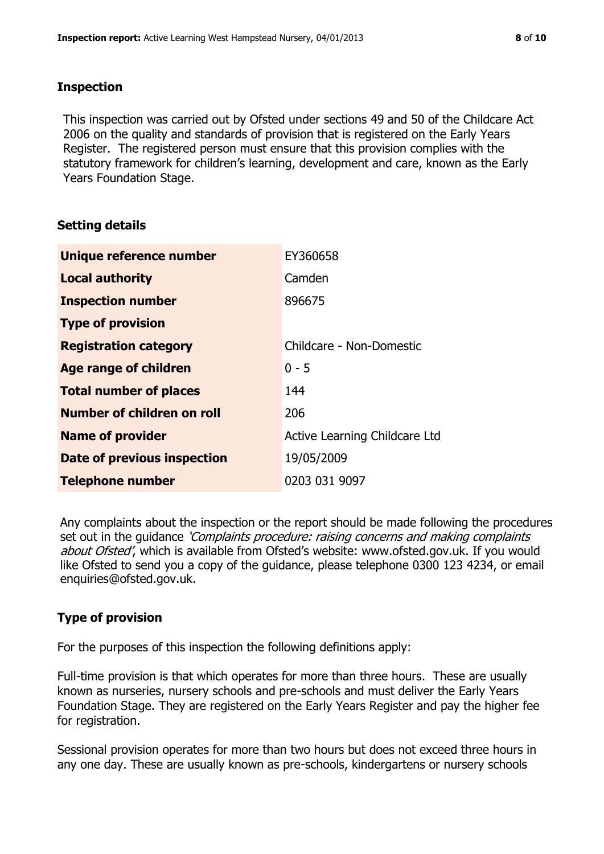#### **Inspection**

This inspection was carried out by Ofsted under sections 49 and 50 of the Childcare Act 2006 on the quality and standards of provision that is registered on the Early Years Register. The registered person must ensure that this provision complies with the statutory framework for children's learning, development and care, known as the Early Years Foundation Stage.

# **Setting details**

| Unique reference number            | EY360658                      |
|------------------------------------|-------------------------------|
| <b>Local authority</b>             | Camden                        |
| <b>Inspection number</b>           | 896675                        |
| <b>Type of provision</b>           |                               |
| <b>Registration category</b>       | Childcare - Non-Domestic      |
| Age range of children              | $0 - 5$                       |
| <b>Total number of places</b>      | 144                           |
| <b>Number of children on roll</b>  | 206                           |
| <b>Name of provider</b>            | Active Learning Childcare Ltd |
| <b>Date of previous inspection</b> | 19/05/2009                    |
| <b>Telephone number</b>            | 0203 031 9097                 |

Any complaints about the inspection or the report should be made following the procedures set out in the guidance *'Complaints procedure: raising concerns and making complaints* about Ofsted', which is available from Ofsted's website: www.ofsted.gov.uk. If you would like Ofsted to send you a copy of the guidance, please telephone 0300 123 4234, or email enquiries@ofsted.gov.uk.

# **Type of provision**

For the purposes of this inspection the following definitions apply:

Full-time provision is that which operates for more than three hours. These are usually known as nurseries, nursery schools and pre-schools and must deliver the Early Years Foundation Stage. They are registered on the Early Years Register and pay the higher fee for registration.

Sessional provision operates for more than two hours but does not exceed three hours in any one day. These are usually known as pre-schools, kindergartens or nursery schools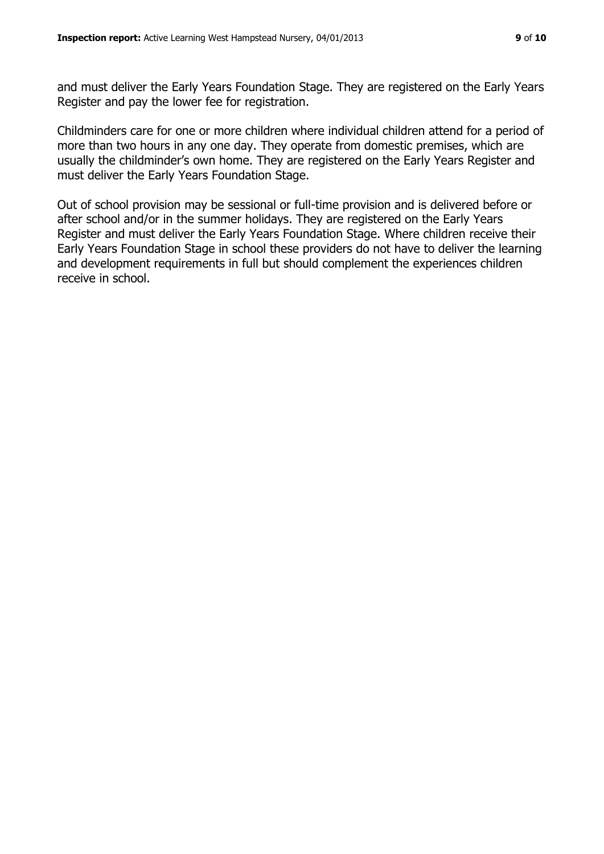and must deliver the Early Years Foundation Stage. They are registered on the Early Years Register and pay the lower fee for registration.

Childminders care for one or more children where individual children attend for a period of more than two hours in any one day. They operate from domestic premises, which are usually the childminder's own home. They are registered on the Early Years Register and must deliver the Early Years Foundation Stage.

Out of school provision may be sessional or full-time provision and is delivered before or after school and/or in the summer holidays. They are registered on the Early Years Register and must deliver the Early Years Foundation Stage. Where children receive their Early Years Foundation Stage in school these providers do not have to deliver the learning and development requirements in full but should complement the experiences children receive in school.